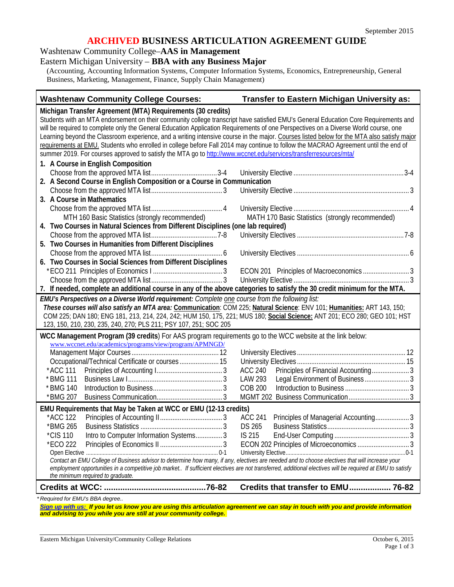#### **ARCHIVED BUSINESS ARTICULATION AGREEMENT GUIDE**

#### Washtenaw Community College–**AAS in Management**

## Eastern Michigan University – **BBA with any Business Major**

(Accounting, Accounting Information Systems, Computer Information Systems, Economics, Entrepreneurship, General Business, Marketing, Management, Finance, Supply Chain Management)

#### **Washtenaw Community College Courses: Transfer to Eastern Michigan University as:**

**Michigan Transfer Agreement (MTA) Requirements (30 credits)** Students with an MTA endorsement on their community college transcript have satisfied EMU's General Education Core Requirements and will be required to complete only the General Education Application Requirements of one Perspectives on a Diverse World course, one Learning beyond the Classroom experience, and a writing intensive course in the major. Courses listed below for the MTA also satisfy major requirements at EMU. Students who enrolled in college before Fall 2014 may continue to follow the MACRAO Agreement until the end of summer 2019. For courses approved to satisfy the MTA go to<http://www.wccnet.edu/services/transferresources/mta/> **1. A Course in English Composition** Choose from the approved MTA list.....................................3-4 University Elective ..............................................................3-4 **2. A Second Course in English Composition or a Course in Communication** Choose from the approved MTA list........................................ 3 University Elective ................................................................. 3 **3. A Course in Mathematics** Choose from the approved MTA list........................................ 4 University Elective ................................................................. 4 MTH 160 Basic Statistics (strongly recommended) MATH 170 Basic Statistics (strongly recommended) **4. Two Courses in Natural Sciences from Different Disciplines (one lab required)** Choose from the approved MTA list.....................................7-8 University Electives ............................................................7-8 **5. Two Courses in Humanities from Different Disciplines** Choose from the approved MTA list........................................ 6 University Electives ............................................................... 6 **6. Two Courses in Social Sciences from Different Disciplines** \*ECO 211 Principles of Economics I ....................................... 3 ECON 201 Principles of Macroeconomics .......................... 3 Choose from the approved MTA list........................................ 3 University Elective ................................................................. 3 **7. If needed, complete an additional course in any of the above categories to satisfy the 30 credit minimum for the MTA.** *EMU's Perspectives on a Diverse World requirement: Complete one course from the following list: These courses will also satisfy an MTA area:* **Communication**: COM 225; **Natural Science**: ENV 101; **Humanities:** ART 143, 150; COM 225; DAN 180; ENG 181, 213, 214, 224, 242; HUM 150, 175, 221; MUS 180; **Social Science:** ANT 201; ECO 280; GEO 101; HST 123, 150, 210, 230, 235, 240, 270; PLS 211; PSY 107, 251; SOC 205 **WCC Management Program (39 credits**) For AAS program requirements go to the WCC website at the link below: [www.wccnet.edu/academics/programs/view/program/APMNGD/](http://www.wccnet.edu/academics/programs/view/program/APMNGD/) Management Major Courses ................................................. 12 University Electives ............................................................. 12 Occupational/Technical Certificate or courses ...................... 15 University Electives ............................................................. 15 \*ACC 111 Principles of Accounting I..................................... 3 ACC 240 Principles of Financial Accounting..................... 3 \* BMG 111 Business Law I..................................................... 3 LAW 293 Legal Environment of Business ......................... 3 \* BMG 140 Introduction to Business....................................... 3 COB 200 Introduction to Business .................................... 3 \*BMG 207 Business Communication..................................... 3 MGMT 202 Business Communication..................................3 **EMU Requirements that May be Taken at WCC or EMU (12-13 credits)** \*ACC 122 Principles of Accounting II................................... 3 ACC 241 Principles of Managerial Accounting................... 3 \*BMG 265 Business Statistics .............................................. 3 DS 265 Business Statistics.............................................. 3 \*CIS 110 Intro to Computer Information Systems............... 3 IS 215 End-User Computing .......................................... 3 \*ECO 222 Principles of Economics II ................................... 3 ECON 202 Principles of Microeconomics ............................. 3 Open Elective ....................................................................................... 0-1 University Elective...............................................................................0-1 *Contact an EMU College of Business advisor to determine how many, if any, electives are needed and to choose electives that will increase your employment opportunities in a competitive job market.. If sufficient electives are not transferred, additional electives will be required at EMU to satisfy the minimum required to graduate.* **Credits at WCC: ............................................76-82 Credits that transfer to EMU.................. 76-82**

*\* Required for EMU's BBA degree..* 

*[Sign up with us:](https://www.emich.edu/ccr/articulation-agreements/signup.php) If you let us know you are using this articulation agreement we can stay in touch with you and provide information and advising to you while you are still at your community college.*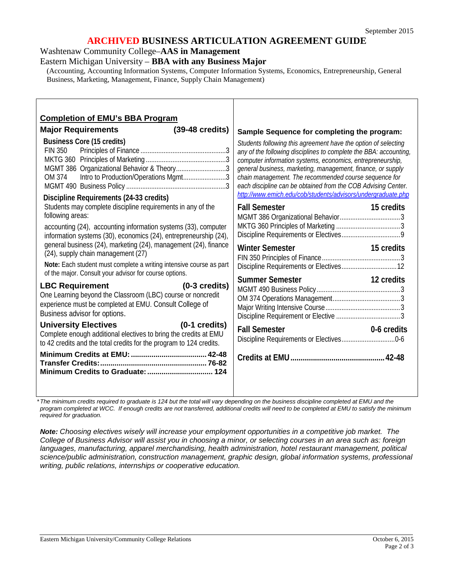## **ARCHIVED BUSINESS ARTICULATION AGREEMENT GUIDE**

Washtenaw Community College–**AAS in Management**

Eastern Michigan University – **BBA with any Business Major**

(Accounting, Accounting Information Systems, Computer Information Systems, Economics, Entrepreneurship, General Business, Marketing, Management, Finance, Supply Chain Management)

| <b>Completion of EMU's BBA Program</b><br>$(39-48 \text{ credits})$<br><b>Major Requirements</b>                                                                                                                                                              | Sample Sequence for completing the program:                                                                                                                                                                                                                                                                                                                                                                                                                                        |
|---------------------------------------------------------------------------------------------------------------------------------------------------------------------------------------------------------------------------------------------------------------|------------------------------------------------------------------------------------------------------------------------------------------------------------------------------------------------------------------------------------------------------------------------------------------------------------------------------------------------------------------------------------------------------------------------------------------------------------------------------------|
| <b>Business Core (15 credits)</b><br><b>FIN 350</b><br>MGMT 386 Organizational Behavior & Theory3<br>Intro to Production/Operations Mgmt3<br>OM 374<br>Discipline Requirements (24-33 credits)<br>Students may complete discipline requirements in any of the | Students following this agreement have the option of selecting<br>any of the following disciplines to complete the BBA: accounting,<br>computer information systems, economics, entrepreneurship,<br>general business, marketing, management, finance, or supply<br>chain management. The recommended course sequence for<br>each discipline can be obtained from the COB Advising Center.<br>http://www.emich.edu/cob/students/advisors/undergraduate.php<br><b>Fall Semester</b> |
| following areas:<br>accounting (24), accounting information systems (33), computer<br>information systems (30), economics (24), entrepreneurship (24),                                                                                                        | 15 credits                                                                                                                                                                                                                                                                                                                                                                                                                                                                         |
| general business (24), marketing (24), management (24), finance<br>(24), supply chain management (27)<br>Note: Each student must complete a writing intensive course as part<br>of the major. Consult your advisor for course options.                        | <b>Winter Semester</b><br>15 credits                                                                                                                                                                                                                                                                                                                                                                                                                                               |
| <b>LBC Requirement</b><br>$(0-3 \text{ credits})$<br>One Learning beyond the Classroom (LBC) course or noncredit<br>experience must be completed at EMU. Consult College of<br>Business advisor for options.                                                  | <b>Summer Semester</b><br>12 credits                                                                                                                                                                                                                                                                                                                                                                                                                                               |
| <b>University Electives</b><br>$(0-1)$ credits)<br>Complete enough additional electives to bring the credits at EMU<br>to 42 credits and the total credits for the program to 124 credits.                                                                    | <b>Fall Semester</b><br>0-6 credits                                                                                                                                                                                                                                                                                                                                                                                                                                                |
|                                                                                                                                                                                                                                                               |                                                                                                                                                                                                                                                                                                                                                                                                                                                                                    |

*\*The minimum credits required to graduate is 124 but the total will vary depending on the business discipline completed at EMU and the*  program completed at WCC. If enough credits are not transferred, additional credits will need to be completed at EMU to satisfy the minimum *required for graduation.*

*Note: Choosing electives wisely will increase your employment opportunities in a competitive job market. The College of Business Advisor will assist you in choosing a minor, or selecting courses in an area such as: foreign languages, manufacturing, apparel merchandising, health administration, hotel restaurant management, political science/public administration, construction management, graphic design, global information systems, professional writing, public relations, internships or cooperative education.*